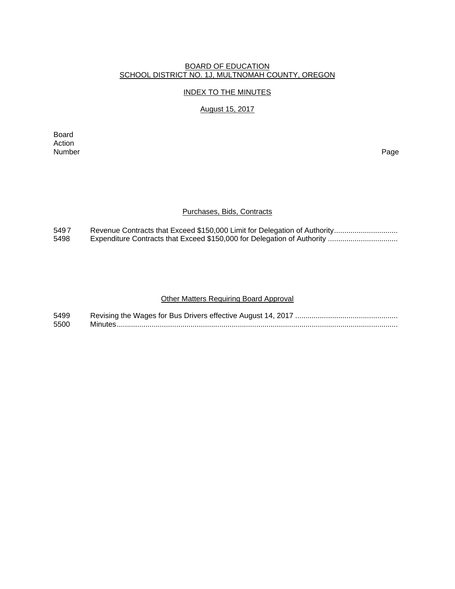#### BOARD OF EDUCATION SCHOOL DISTRICT NO. 1J, MULTNOMAH COUNTY, OREGON

#### INDEX TO THE MINUTES

#### August 15, 2017

Board Action<br>Number Number Page

#### Purchases, Bids, Contracts

549 7 Revenue Contracts that Exceed \$150,000 Limit for Delegation of Authority ..............................<br>5498 Expenditure Contracts that Exceed \$150,000 for Delegation of Authority ................................. 5498 Expenditure Contracts that Exceed \$150,000 for Delegation of Authority ..................................

#### Other Matters Requiring Board Approval

| 5499 |  |
|------|--|
| 5500 |  |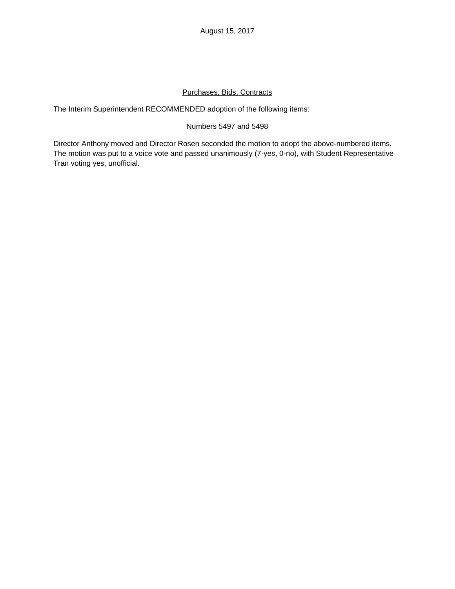August 15, 2017

## Purchases, Bids, Contracts

The Interim Superintendent RECOMMENDED adoption of the following items:

## Numbers 5497 and 5498

Director Anthony moved and Director Rosen seconded the motion to adopt the above-numbered items. The motion was put to a voice vote and passed unanimously (7-yes, 0-no), with Student Representative Tran voting yes, unofficial.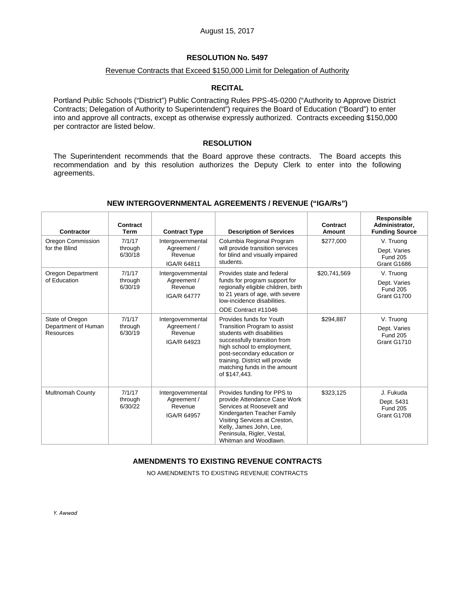#### Revenue Contracts that Exceed \$150,000 Limit for Delegation of Authority

#### **RECITAL**

Portland Public Schools ("District") Public Contracting Rules PPS-45-0200 ("Authority to Approve District Contracts; Delegation of Authority to Superintendent") requires the Board of Education ("Board") to enter into and approve all contracts, except as otherwise expressly authorized. Contracts exceeding \$150,000 per contractor are listed below.

#### **RESOLUTION**

The Superintendent recommends that the Board approve these contracts. The Board accepts this recommendation and by this resolution authorizes the Deputy Clerk to enter into the following agreements.

| Contractor                                          | Contract<br><b>Term</b>      | <b>Contract Type</b>                                       | <b>Description of Services</b>                                                                                                                                                                                                                                          | Contract<br>Amount | Responsible<br>Administrator,<br><b>Funding Source</b>      |
|-----------------------------------------------------|------------------------------|------------------------------------------------------------|-------------------------------------------------------------------------------------------------------------------------------------------------------------------------------------------------------------------------------------------------------------------------|--------------------|-------------------------------------------------------------|
| Oregon Commission<br>for the Blind                  | 7/1/17<br>through<br>6/30/18 | Intergovernmental<br>Agreement /<br>Revenue<br>IGA/R 64811 | Columbia Regional Program<br>will provide transition services<br>for blind and visually impaired<br>students.                                                                                                                                                           | \$277,000          | V. Truong<br>Dept. Varies<br><b>Fund 205</b><br>Grant G1686 |
| Oregon Department<br>of Education                   | 7/1/17<br>through<br>6/30/19 | Intergovernmental<br>Agreement /<br>Revenue<br>IGA/R 64777 | Provides state and federal<br>funds for program support for<br>regionally eligible children, birth<br>to 21 years of age, with severe<br>low-incidence disabilities.<br>ODE Contract #11046                                                                             | \$20,741,569       | V. Truong<br>Dept. Varies<br><b>Fund 205</b><br>Grant G1700 |
| State of Oregon<br>Department of Human<br>Resources | 7/1/17<br>through<br>6/30/19 | Intergovernmental<br>Agreement /<br>Revenue<br>IGA/R 64923 | Provides funds for Youth<br>Transition Program to assist<br>students with disabilities<br>successfully transition from<br>high school to employment,<br>post-secondary education or<br>training. District will provide<br>matching funds in the amount<br>of \$147,443. | \$294,887          | V. Truong<br>Dept. Varies<br><b>Fund 205</b><br>Grant G1710 |
| <b>Multnomah County</b>                             | 7/1/17<br>through<br>6/30/22 | Intergovernmental<br>Agreement /<br>Revenue<br>IGA/R 64957 | Provides funding for PPS to<br>provide Attendance Case Work<br>Services at Roosevelt and<br>Kindergarten Teacher Family<br>Visiting Services at Creston,<br>Kelly, James John, Lee,<br>Peninsula, Rigler, Vestal,<br>Whitman and Woodlawn.                              | \$323,125          | J. Fukuda<br>Dept. 5431<br><b>Fund 205</b><br>Grant G1708   |

#### **NEW INTERGOVERNMENTAL AGREEMENTS / REVENUE ("IGA/Rs")**

## **AMENDMENTS TO EXISTING REVENUE CONTRACTS**

NO AMENDMENTS TO EXISTING REVENUE CONTRACTS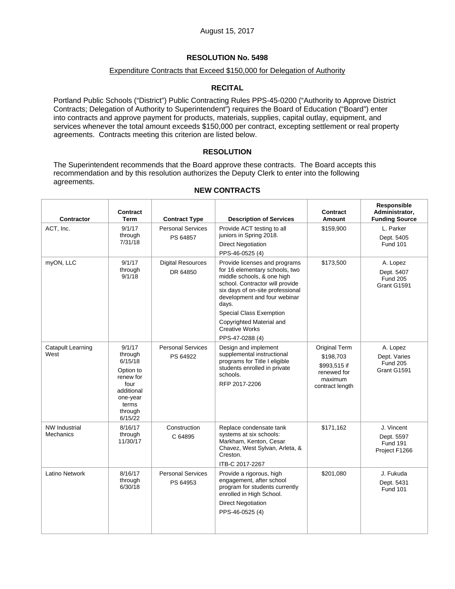#### Expenditure Contracts that Exceed \$150,000 for Delegation of Authority

## **RECITAL**

Portland Public Schools ("District") Public Contracting Rules PPS-45-0200 ("Authority to Approve District Contracts; Delegation of Authority to Superintendent") requires the Board of Education ("Board") enter into contracts and approve payment for products, materials, supplies, capital outlay, equipment, and services whenever the total amount exceeds \$150,000 per contract, excepting settlement or real property agreements. Contracts meeting this criterion are listed below.

#### **RESOLUTION**

The Superintendent recommends that the Board approve these contracts. The Board accepts this recommendation and by this resolution authorizes the Deputy Clerk to enter into the following agreements.

| <b>Contractor</b>                 | <b>Contract</b><br>Term                                                                                                 | <b>Contract Type</b>                 | <b>Description of Services</b>                                                                                                                                                                                | <b>Contract</b><br>Amount                                                               | Responsible<br>Administrator,<br><b>Funding Source</b>       |
|-----------------------------------|-------------------------------------------------------------------------------------------------------------------------|--------------------------------------|---------------------------------------------------------------------------------------------------------------------------------------------------------------------------------------------------------------|-----------------------------------------------------------------------------------------|--------------------------------------------------------------|
| ACT, Inc.                         | 9/1/17<br>through<br>7/31/18                                                                                            | <b>Personal Services</b><br>PS 64857 | Provide ACT testing to all<br>juniors in Spring 2018.<br><b>Direct Negotiation</b><br>PPS-46-0525 (4)                                                                                                         | \$159,900                                                                               | L. Parker<br>Dept. 5405<br><b>Fund 101</b>                   |
| myON, LLC                         | 9/1/17<br>through<br>9/1/18                                                                                             | <b>Digital Resources</b><br>DR 64850 | Provide licenses and programs<br>for 16 elementary schools, two<br>middle schools, & one high<br>school. Contractor will provide<br>six days of on-site professional<br>development and four webinar<br>days. | \$173,500                                                                               | A. Lopez<br>Dept. 5407<br><b>Fund 205</b><br>Grant G1591     |
|                                   |                                                                                                                         |                                      | <b>Special Class Exemption</b><br>Copyrighted Material and<br><b>Creative Works</b><br>PPS-47-0288 (4)                                                                                                        |                                                                                         |                                                              |
| Catapult Learning<br>West         | 9/1/17<br>through<br>6/15/18<br>Option to<br>renew for<br>four<br>additional<br>one-year<br>terms<br>through<br>6/15/22 | <b>Personal Services</b><br>PS 64922 | Design and implement<br>supplemental instructional<br>programs for Title I eligible<br>students enrolled in private<br>schools.<br>RFP 2017-2206                                                              | Original Term<br>\$198,703<br>\$993,515 if<br>renewed for<br>maximum<br>contract length | A. Lopez<br>Dept. Varies<br><b>Fund 205</b><br>Grant G1591   |
| <b>NW Industrial</b><br>Mechanics | 8/16/17<br>through<br>11/30/17                                                                                          | Construction<br>C 64895              | Replace condensate tank<br>systems at six schools:<br>Markham, Kenton, Cesar<br>Chavez, West Sylvan, Arleta, &<br>Creston.<br>ITB-C 2017-2267                                                                 | \$171,162                                                                               | J. Vincent<br>Dept. 5597<br><b>Fund 191</b><br>Project F1266 |
| <b>Latino Network</b>             | 8/16/17<br>through<br>6/30/18                                                                                           | <b>Personal Services</b><br>PS 64953 | Provide a rigorous, high<br>engagement, after school<br>program for students currently<br>enrolled in High School.<br><b>Direct Negotiation</b><br>PPS-46-0525 (4)                                            | \$201,080                                                                               | J. Fukuda<br>Dept. 5431<br><b>Fund 101</b>                   |

#### **NEW CONTRACTS**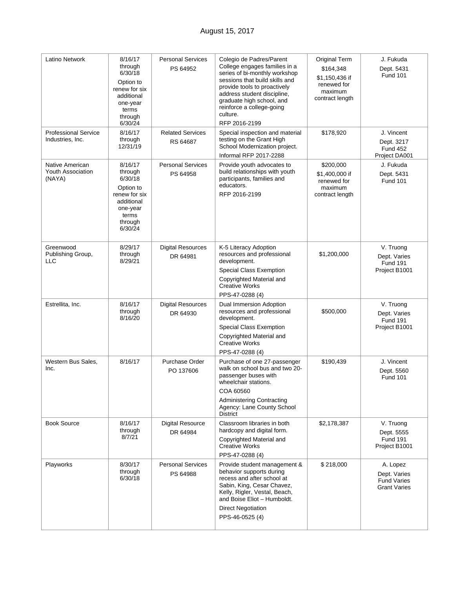| Latino Network                                        | 8/16/17<br>through<br>6/30/18<br>Option to<br>renew for six<br>additional<br>one-year<br>terms<br>through<br>6/30/24 | <b>Personal Services</b><br>PS 64952 | Colegio de Padres/Parent<br>College engages families in a<br>series of bi-monthly workshop<br>sessions that build skills and<br>provide tools to proactively<br>address student discipline,<br>graduate high school, and<br>reinforce a college-going<br>culture.<br>RFP 2016-2199 | Original Term<br>\$164,348<br>\$1,150,436 if<br>renewed for<br>maximum<br>contract length | J. Fukuda<br>Dept. 5431<br><b>Fund 101</b>                            |
|-------------------------------------------------------|----------------------------------------------------------------------------------------------------------------------|--------------------------------------|------------------------------------------------------------------------------------------------------------------------------------------------------------------------------------------------------------------------------------------------------------------------------------|-------------------------------------------------------------------------------------------|-----------------------------------------------------------------------|
| <b>Professional Service</b><br>Industries, Inc.       | 8/16/17<br>through<br>12/31/19                                                                                       | <b>Related Services</b><br>RS 64687  | Special inspection and material<br>testing on the Grant High<br>School Modernization project.<br>Informal RFP 2017-2288                                                                                                                                                            | \$178,920                                                                                 | J. Vincent<br>Dept. 3217<br><b>Fund 452</b><br>Project DA001          |
| Native American<br><b>Youth Association</b><br>(NAYA) | 8/16/17<br>through<br>6/30/18<br>Option to<br>renew for six<br>additional<br>one-year<br>terms<br>through<br>6/30/24 | <b>Personal Services</b><br>PS 64958 | Provide youth advocates to<br>build relationships with youth<br>participants, families and<br>educators.<br>RFP 2016-2199                                                                                                                                                          | \$200,000<br>\$1,400,000 if<br>renewed for<br>maximum<br>contract length                  | J. Fukuda<br>Dept. 5431<br><b>Fund 101</b>                            |
| Greenwood<br>Publishing Group,<br><b>LLC</b>          | 8/29/17<br>through<br>8/29/21                                                                                        | <b>Digital Resources</b><br>DR 64981 | K-5 Literacy Adoption<br>resources and professional<br>development.<br>Special Class Exemption<br>Copyrighted Material and<br><b>Creative Works</b><br>PPS-47-0288 (4)                                                                                                             | \$1,200,000                                                                               | V. Truong<br>Dept. Varies<br><b>Fund 191</b><br>Project B1001         |
| Estrellita, Inc.                                      | 8/16/17<br>through<br>8/16/20                                                                                        | <b>Digital Resources</b><br>DR 64930 | Dual Immersion Adoption<br>resources and professional<br>development.<br><b>Special Class Exemption</b><br>Copyrighted Material and<br><b>Creative Works</b><br>PPS-47-0288 (4)                                                                                                    | \$500,000                                                                                 | V. Truong<br>Dept. Varies<br><b>Fund 191</b><br>Project B1001         |
| Western Bus Sales,<br>Inc.                            | 8/16/17                                                                                                              | <b>Purchase Order</b><br>PO 137606   | Purchase of one 27-passenger<br>walk on school bus and two 20-<br>passenger buses with<br>wheelchair stations.<br>COA 60560<br><b>Administering Contracting</b><br>Agency: Lane County School<br><b>District</b>                                                                   | \$190,439                                                                                 | J. Vincent<br>Dept. 5560<br><b>Fund 101</b>                           |
| <b>Book Source</b>                                    | 8/16/17<br>through<br>8/7/21                                                                                         | <b>Digital Resource</b><br>DR 64984  | Classroom libraries in both<br>hardcopy and digital form.<br>Copyrighted Material and<br><b>Creative Works</b><br>PPS-47-0288 (4)                                                                                                                                                  | \$2,178,387                                                                               | V. Truong<br>Dept. 5555<br><b>Fund 191</b><br>Project B1001           |
| Playworks                                             | 8/30/17<br>through<br>6/30/18                                                                                        | <b>Personal Services</b><br>PS 64988 | Provide student management &<br>behavior supports during<br>recess and after school at<br>Sabin, King, Cesar Chavez,<br>Kelly, Rigler, Vestal, Beach,<br>and Boise Eliot - Humboldt.<br><b>Direct Negotiation</b><br>PPS-46-0525 (4)                                               | \$218,000                                                                                 | A. Lopez<br>Dept. Varies<br><b>Fund Varies</b><br><b>Grant Varies</b> |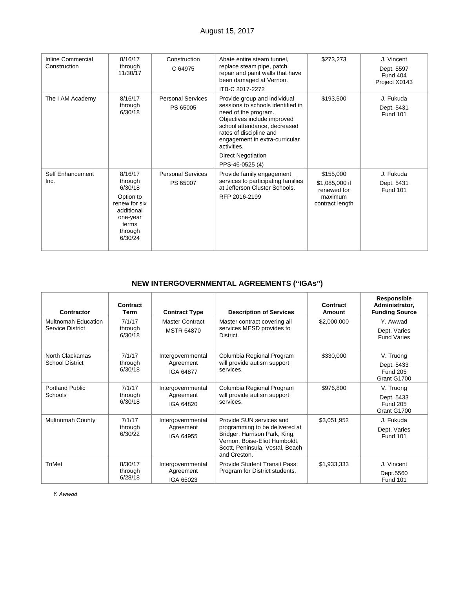| <b>Inline Commercial</b><br>Construction | 8/16/17<br>through<br>11/30/17                                                                                       | Construction<br>C 64975              | Abate entire steam tunnel.<br>replace steam pipe, patch,<br>repair and paint walls that have<br>been damaged at Vernon.<br>ITB-C 2017-2272                                                                                                                                           | \$273,273                                                                | J. Vincent<br>Dept. 5597<br>Fund 404<br>Project X0143 |
|------------------------------------------|----------------------------------------------------------------------------------------------------------------------|--------------------------------------|--------------------------------------------------------------------------------------------------------------------------------------------------------------------------------------------------------------------------------------------------------------------------------------|--------------------------------------------------------------------------|-------------------------------------------------------|
| The I AM Academy                         | 8/16/17<br>through<br>6/30/18                                                                                        | <b>Personal Services</b><br>PS 65005 | Provide group and individual<br>sessions to schools identified in<br>need of the program.<br>Objectives include improved<br>school attendance, decreased<br>rates of discipline and<br>engagement in extra-curricular<br>activities.<br><b>Direct Negotiation</b><br>PPS-46-0525 (4) | \$193,500                                                                | J. Fukuda<br>Dept. 5431<br><b>Fund 101</b>            |
| Self Enhancement<br>Inc.                 | 8/16/17<br>through<br>6/30/18<br>Option to<br>renew for six<br>additional<br>one-year<br>terms<br>through<br>6/30/24 | <b>Personal Services</b><br>PS 65007 | Provide family engagement<br>services to participating families<br>at Jefferson Cluster Schools.<br>RFP 2016-2199                                                                                                                                                                    | \$155,000<br>\$1,085,000 if<br>renewed for<br>maximum<br>contract length | J. Fukuda<br>Dept. 5431<br><b>Fund 101</b>            |

# **NEW INTERGOVERNMENTAL AGREEMENTS ("IGAs")**

| Contractor                                     | Contract<br><b>Term</b>       | <b>Contract Type</b>                        | <b>Description of Services</b>                                                                                                                                                  | Contract<br>Amount | Responsible<br>Administrator,<br><b>Funding Source</b>    |
|------------------------------------------------|-------------------------------|---------------------------------------------|---------------------------------------------------------------------------------------------------------------------------------------------------------------------------------|--------------------|-----------------------------------------------------------|
| <b>Multnomah Education</b><br>Service District | 7/1/17<br>through<br>6/30/18  | <b>Master Contract</b><br><b>MSTR 64870</b> | Master contract covering all<br>services MESD provides to<br>District.                                                                                                          | \$2,000.000        | Y. Awwad<br>Dept. Varies<br><b>Fund Varies</b>            |
| North Clackamas<br><b>School District</b>      | 7/1/17<br>through<br>6/30/18  | Intergovernmental<br>Agreement<br>IGA 64877 | Columbia Regional Program<br>will provide autism support<br>services.                                                                                                           | \$330,000          | V. Truong<br>Dept. 5433<br><b>Fund 205</b><br>Grant G1700 |
| <b>Portland Public</b><br>Schools              | 7/1/17<br>through<br>6/30/18  | Intergovernmental<br>Agreement<br>IGA 64820 | Columbia Regional Program<br>will provide autism support<br>services.                                                                                                           | \$976,800          | V. Truong<br>Dept. 5433<br><b>Fund 205</b><br>Grant G1700 |
| Multnomah County                               | 7/1/17<br>through<br>6/30/22  | Intergovernmental<br>Agreement<br>IGA 64955 | Provide SUN services and<br>programming to be delivered at<br>Bridger, Harrison Park, King,<br>Vernon, Boise-Eliot Humboldt,<br>Scott, Peninsula, Vestal, Beach<br>and Creston. | \$3,051,952        | J. Fukuda<br>Dept. Varies<br><b>Fund 101</b>              |
| TriMet                                         | 8/30/17<br>through<br>6/28/18 | Intergovernmental<br>Agreement<br>IGA 65023 | Provide Student Transit Pass<br>Program for District students.                                                                                                                  | \$1,933,333        | J. Vincent<br>Dept.5560<br><b>Fund 101</b>                |

*Y. Awwad*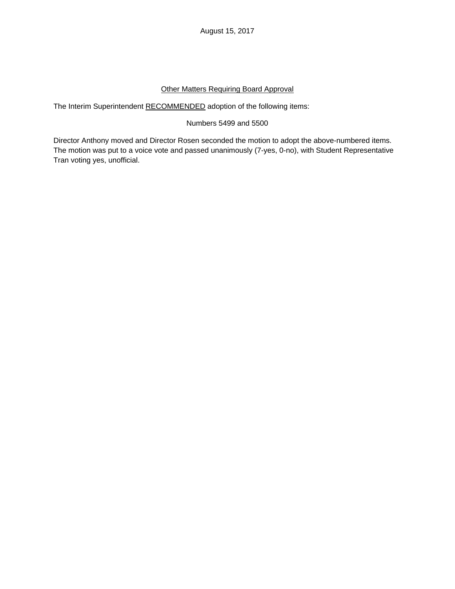## Other Matters Requiring Board Approval

The Interim Superintendent RECOMMENDED adoption of the following items:

# Numbers 5499 and 5500

Director Anthony moved and Director Rosen seconded the motion to adopt the above-numbered items. The motion was put to a voice vote and passed unanimously (7-yes, 0-no), with Student Representative Tran voting yes, unofficial.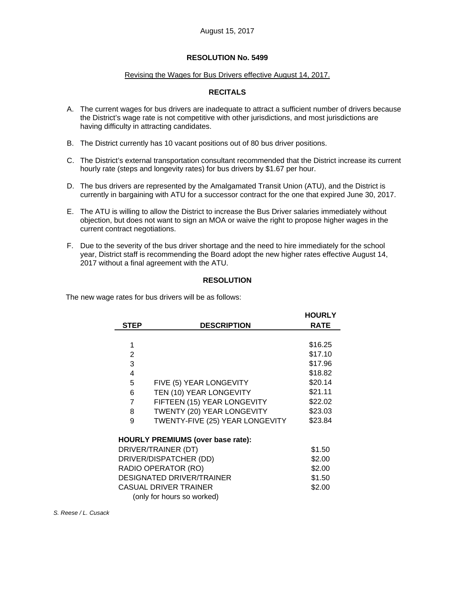#### Revising the Wages for Bus Drivers effective August 14, 2017.

# **RECITALS**

- A. The current wages for bus drivers are inadequate to attract a sufficient number of drivers because the District's wage rate is not competitive with other jurisdictions, and most jurisdictions are having difficulty in attracting candidates.
- B. The District currently has 10 vacant positions out of 80 bus driver positions.
- C. The District's external transportation consultant recommended that the District increase its current hourly rate (steps and longevity rates) for bus drivers by \$1.67 per hour.
- D. The bus drivers are represented by the Amalgamated Transit Union (ATU), and the District is currently in bargaining with ATU for a successor contract for the one that expired June 30, 2017.
- E. The ATU is willing to allow the District to increase the Bus Driver salaries immediately without objection, but does not want to sign an MOA or waive the right to propose higher wages in the current contract negotiations.
- F. Due to the severity of the bus driver shortage and the need to hire immediately for the school year, District staff is recommending the Board adopt the new higher rates effective August 14, 2017 without a final agreement with the ATU.

## **RESOLUTION**

The new wage rates for bus drivers will be as follows:

| <b>STEP</b>                      | <b>DESCRIPTION</b>                       | <b>HOURLY</b><br><b>RATE</b> |  |  |  |  |
|----------------------------------|------------------------------------------|------------------------------|--|--|--|--|
|                                  |                                          |                              |  |  |  |  |
| 1                                |                                          | \$16.25                      |  |  |  |  |
| $\mathbf{2}$                     |                                          | \$17.10                      |  |  |  |  |
| 3                                |                                          | \$17.96                      |  |  |  |  |
| 4                                |                                          | \$18.82                      |  |  |  |  |
| 5                                | FIVE (5) YEAR LONGEVITY                  | \$20.14                      |  |  |  |  |
| 6                                | TEN (10) YEAR LONGEVITY                  | \$21.11                      |  |  |  |  |
| 7                                | FIFTEEN (15) YEAR LONGEVITY              | \$22.02                      |  |  |  |  |
| 8                                | TWENTY (20) YEAR LONGEVITY               | \$23.03                      |  |  |  |  |
| 9                                | TWENTY-FIVE (25) YEAR LONGEVITY          | \$23.84                      |  |  |  |  |
|                                  | <b>HOURLY PREMIUMS (over base rate):</b> |                              |  |  |  |  |
|                                  | DRIVER/TRAINER (DT)                      | \$1.50                       |  |  |  |  |
| DRIVER/DISPATCHER (DD)           | \$2.00                                   |                              |  |  |  |  |
| RADIO OPERATOR (RO)              | \$2.00                                   |                              |  |  |  |  |
| <b>DESIGNATED DRIVER/TRAINER</b> | \$1.50                                   |                              |  |  |  |  |
| <b>CASUAL DRIVER TRAINER</b>     | \$2.00                                   |                              |  |  |  |  |
| (only for hours so worked)       |                                          |                              |  |  |  |  |

*S. Reese / L. Cusack*